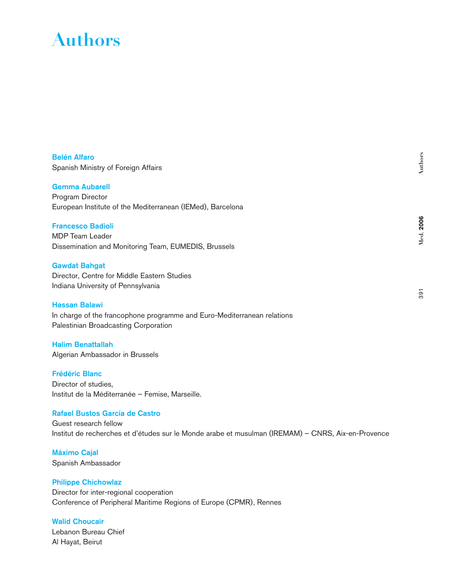# **Authors**

Belén Alfaro Spanish Ministry of Foreign Affairs

#### Gemma Aubarell

Program Director European Institute of the Mediterranean (IEMed), Barcelona

# Francesco Badioli

MDP Team Leader Dissemination and Monitoring Team, EUMEDIS, Brussels

## Gawdat Bahgat

Director, Centre for Middle Eastern Studies Indiana University of Pennsylvania

#### Hassan Balawi

In charge of the francophone programme and Euro-Mediterranean relations Palestinian Broadcasting Corporation

Halim Benattallah Algerian Ambassador in Brussels

## Frédéric Blanc

Director of studies, Institut de la Méditerranée – Femise, Marseille.

# Rafael Bustos García de Castro

Guest research fellow Institut de recherches et d'études sur le Monde arabe et musulman (IREMAM) – CNRS, Aix-en-Provence

Máximo Cajal Spanish Ambassador

## Philippe Chichowlaz

Director for inter-regional cooperation Conference of Peripheral Maritime Regions of Europe (CPMR), Rennes

## Walid Choucair

Lebanon Bureau Chief Al Hayat, Beirut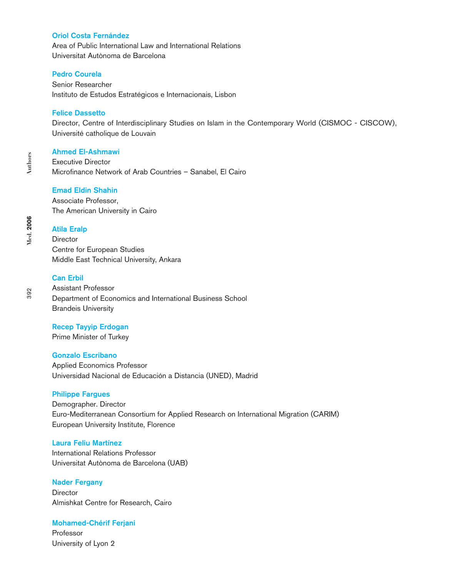## Oriol Costa Fernández

Area of Public International Law and International Relations Universitat Autònoma de Barcelona

## Pedro Courela

Senior Researcher Instituto de Estudos Estratégicos e Internacionais, Lisbon

## Felice Dassetto

Director, Centre of Interdisciplinary Studies on Islam in the Contemporary World (CISMOC - CISCOW), Université catholique de Louvain

#### Ahmed El-Ashmawi

Executive Director Microfinance Network of Arab Countries – Sanabel, El Cairo

## Emad Eldin Shahin

Associate Professor, The American University in Cairo

#### Atila Eralp

**Director** Centre for European Studies Middle East Technical University, Ankara

# Can Erbil

Assistant Professor Department of Economics and International Business School Brandeis University

#### Recep Tayyip Erdogan

Prime Minister of Turkey

#### Gonzalo Escribano

Applied Economics Professor Universidad Nacional de Educación a Distancia (UNED), Madrid

#### Philippe Fargues

Demographer. Director Euro-Mediterranean Consortium for Applied Research on International Migration (CARIM) European University Institute, Florence

## Laura Feliu Martínez

International Relations Professor Universitat Autònoma de Barcelona (UAB)

#### Nader Fergany

**Director** Almishkat Centre for Research, Cairo

#### Mohamed-Chérif Ferjani

Professor University of Lyon 2

**Med. 2006**

**Med.** 2006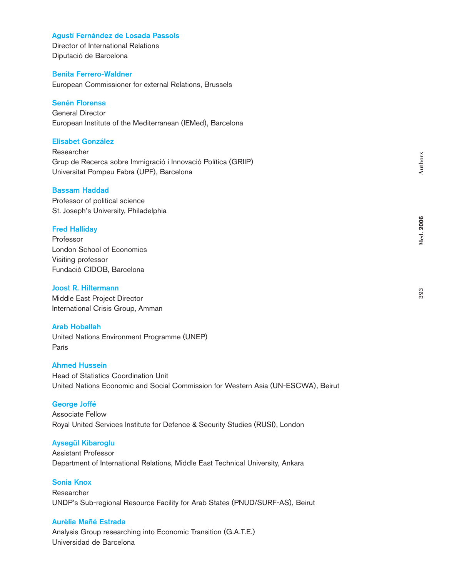## Agustí Fernández de Losada Passols

Director of International Relations Diputació de Barcelona

## Benita Ferrero-Waldner

European Commissioner for external Relations, Brussels

## Senén Florensa

General Director European Institute of the Mediterranean (IEMed), Barcelona

## Elisabet González

Researcher Grup de Recerca sobre Immigració i Innovació Política (GRIIP) Universitat Pompeu Fabra (UPF), Barcelona

## Bassam Haddad

Professor of political science St. Joseph's University, Philadelphia

## Fred Halliday

Professor London School of Economics Visiting professor Fundació CIDOB, Barcelona

## Joost R. Hiltermann

Middle East Project Director International Crisis Group, Amman

## Arab Hoballah

United Nations Environment Programme (UNEP) París

# Ahmed Hussein

Head of Statistics Coordination Unit United Nations Economic and Social Commission for Western Asia (UN-ESCWA), Beirut

## George Joffé

Associate Fellow Royal United Services Institute for Defence & Security Studies (RUSI), London

#### Aysegül Kibaroglu

Assistant Professor Department of International Relations, Middle East Technical University, Ankara

# Sonia Knox

Researcher UNDP's Sub-regional Resource Facility for Arab States (PNUD/SURF-AS), Beirut

## Aurèlia Mañé Estrada

Analysis Group researching into Economic Transition (G.A.T.E.) Universidad de Barcelona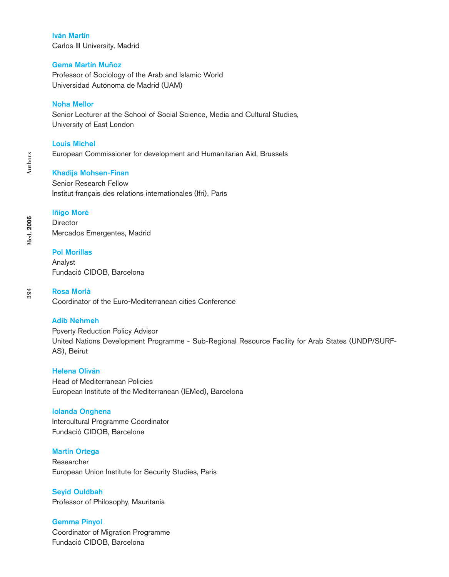## Iván Martín

Carlos III University, Madrid

# Gema Martín Muñoz

Professor of Sociology of the Arab and Islamic World Universidad Autónoma de Madrid (UAM)

# Noha Mellor

Senior Lecturer at the School of Social Science, Media and Cultural Studies, University of East London

## Louis Michel

European Commissioner for development and Humanitarian Aid, Brussels

## Khadija Mohsen-Finan

Senior Research Fellow Institut français des relations internationales (Ifri), París

## Iñigo Moré

**Director** Mercados Emergentes, Madrid

## Pol Morillas

Analyst Fundació CIDOB, Barcelona

# Rosa Morlà

Coordinator of the Euro-Mediterranean cities Conference

## Adib Nehmeh

Poverty Reduction Policy Advisor United Nations Development Programme - Sub-Regional Resource Facility for Arab States (UNDP/SURF-AS), Beirut

## Helena Oliván

Head of Mediterranean Policies European Institute of the Mediterranean (IEMed), Barcelona

## Iolanda Onghena

Intercultural Programme Coordinator Fundació CIDOB, Barcelone

## Martín Ortega

Researcher European Union Institute for Security Studies, Paris

Seyid Ouldbah Professor of Philosophy, Mauritania

Gemma Pinyol Coordinator of Migration Programme Fundació CIDOB, Barcelona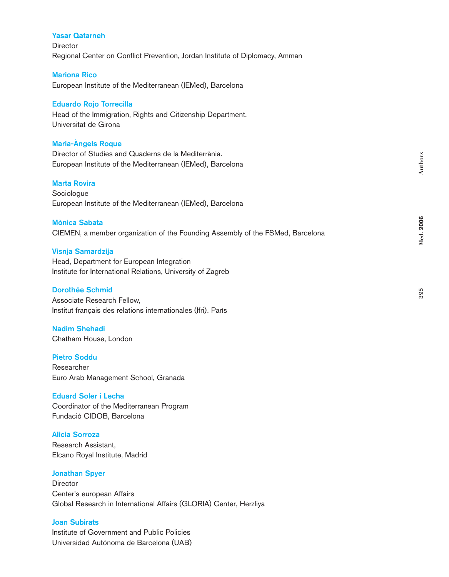## Yasar Qatarneh

**Director** Regional Center on Conflict Prevention, Jordan Institute of Diplomacy, Amman

#### Mariona Rico

European Institute of the Mediterranean (IEMed), Barcelona

## Eduardo Rojo Torrecilla

Head of the Immigration, Rights and Citizenship Department. Universitat de Girona

## Maria-Àngels Roque

Director of Studies and Quaderns de la Mediterrània. European Institute of the Mediterranean (IEMed), Barcelona

## Marta Rovira

Sociologue European Institute of the Mediterranean (IEMed), Barcelona

# Mònica Sabata

CIEMEN, a member organization of the Founding Assembly of the FSMed, Barcelona

#### Visnja Samardzija

Head, Department for European Integration Institute for International Relations, University of Zagreb

## Dorothée Schmid

Associate Research Fellow, Institut français des relations internationales (Ifri), París

# Nadim Shehadi

Chatham House, London

## Pietro Soddu

Researcher Euro Arab Management School, Granada

## Eduard Soler i Lecha

Coordinator of the Mediterranean Program Fundació CIDOB, Barcelona

## Alicia Sorroza

Research Assistant, Elcano Royal Institute, Madrid

#### Jonathan Spyer

**Director** Center's european Affairs Global Research in International Affairs (GLORIA) Center, Herzliya

## Joan Subirats

Institute of Government and Public Policies Universidad Autónoma de Barcelona (UAB)